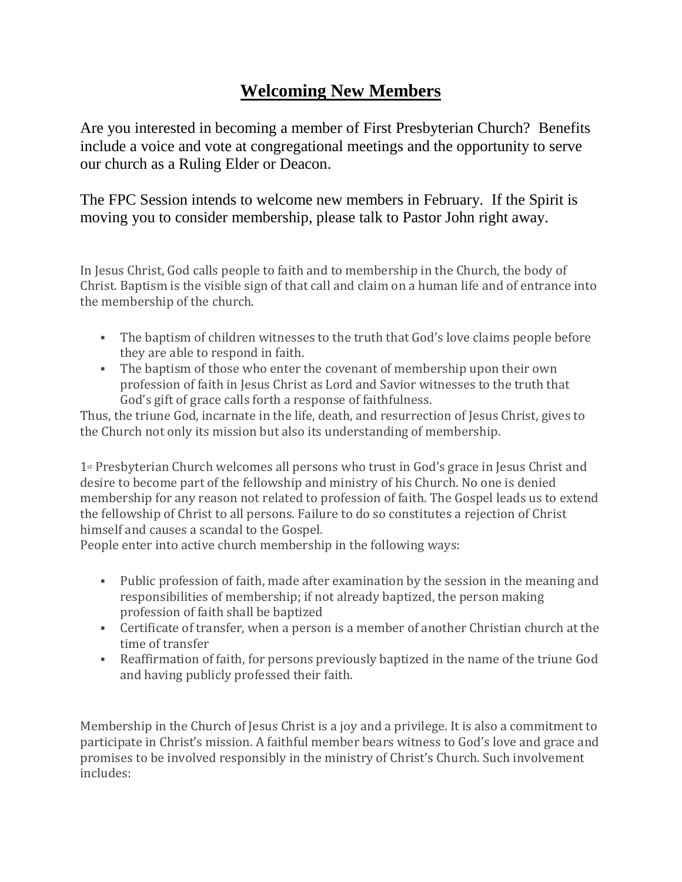## **Welcoming New Members**

Are you interested in becoming a member of First Presbyterian Church? Benefits include a voice and vote at congregational meetings and the opportunity to serve our church as a Ruling Elder or Deacon.

The FPC Session intends to welcome new members in February. If the Spirit is moving you to consider membership, please talk to Pastor John right away.

In Jesus Christ, God calls people to faith and to membership in the Church, the body of Christ. Baptism is the visible sign of that call and claim on a human life and of entrance into the membership of the church.

- The baptism of children witnesses to the truth that God's love claims people before they are able to respond in faith.
- The baptism of those who enter the covenant of membership upon their own profession of faith in Jesus Christ as Lord and Savior witnesses to the truth that God's gift of grace calls forth a response of faithfulness.

Thus, the triune God, incarnate in the life, death, and resurrection of Jesus Christ, gives to the Church not only its mission but also its understanding of membership.

1st Presbyterian Church welcomes all persons who trust in God's grace in Jesus Christ and desire to become part of the fellowship and ministry of his Church. No one is denied membership for any reason not related to profession of faith. The Gospel leads us to extend the fellowship of Christ to all persons. Failure to do so constitutes a rejection of Christ himself and causes a scandal to the Gospel.

People enter into active church membership in the following ways:

- Public profession of faith, made after examination by the session in the meaning and responsibilities of membership; if not already baptized, the person making profession of faith shall be baptized
- **•** Certificate of transfer, when a person is a member of another Christian church at the time of transfer
- Reaffirmation of faith, for persons previously baptized in the name of the triune God and having publicly professed their faith.

Membership in the Church of Jesus Christ is a joy and a privilege. It is also a commitment to participate in Christ's mission. A faithful member bears witness to God's love and grace and promises to be involved responsibly in the ministry of Christ's Church. Such involvement includes: